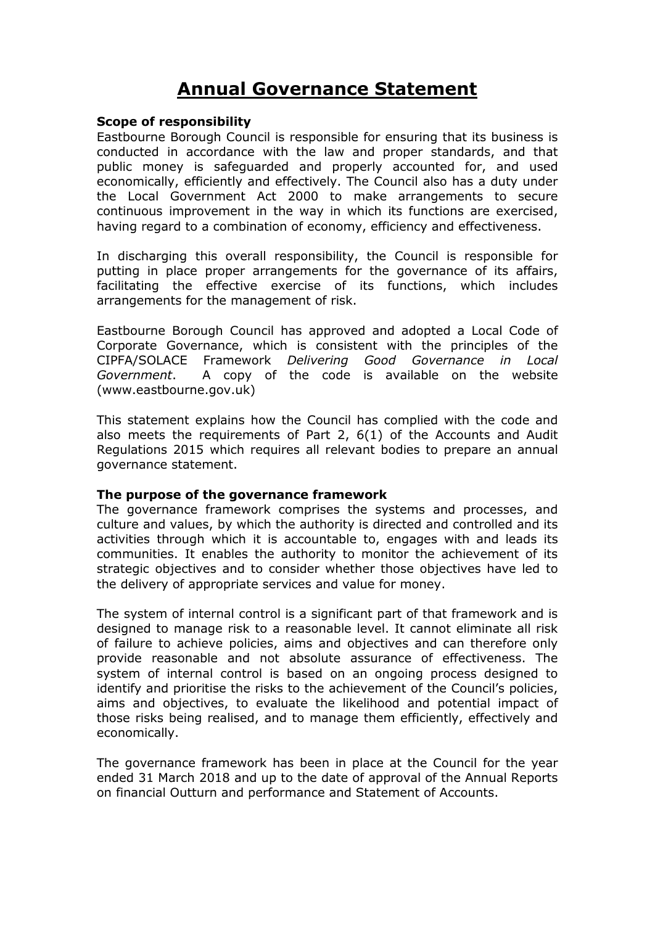# **Annual Governance Statement**

#### **Scope of responsibility**

Eastbourne Borough Council is responsible for ensuring that its business is conducted in accordance with the law and proper standards, and that public money is safeguarded and properly accounted for, and used economically, efficiently and effectively. The Council also has a duty under the Local Government Act 2000 to make arrangements to secure continuous improvement in the way in which its functions are exercised, having regard to a combination of economy, efficiency and effectiveness.

In discharging this overall responsibility, the Council is responsible for putting in place proper arrangements for the governance of its affairs, facilitating the effective exercise of its functions, which includes arrangements for the management of risk.

Eastbourne Borough Council has approved and adopted a Local Code of Corporate Governance, which is consistent with the principles of the CIPFA/SOLACE Framework *Delivering Good Governance in Local Government*. A copy of the code is available on the website (www.eastbourne.gov.uk)

This statement explains how the Council has complied with the code and also meets the requirements of Part 2, 6(1) of the Accounts and Audit Regulations 2015 which requires all relevant bodies to prepare an annual governance statement.

#### **The purpose of the governance framework**

The governance framework comprises the systems and processes, and culture and values, by which the authority is directed and controlled and its activities through which it is accountable to, engages with and leads its communities. It enables the authority to monitor the achievement of its strategic objectives and to consider whether those objectives have led to the delivery of appropriate services and value for money.

The system of internal control is a significant part of that framework and is designed to manage risk to a reasonable level. It cannot eliminate all risk of failure to achieve policies, aims and objectives and can therefore only provide reasonable and not absolute assurance of effectiveness. The system of internal control is based on an ongoing process designed to identify and prioritise the risks to the achievement of the Council's policies, aims and objectives, to evaluate the likelihood and potential impact of those risks being realised, and to manage them efficiently, effectively and economically.

The governance framework has been in place at the Council for the year ended 31 March 2018 and up to the date of approval of the Annual Reports on financial Outturn and performance and Statement of Accounts.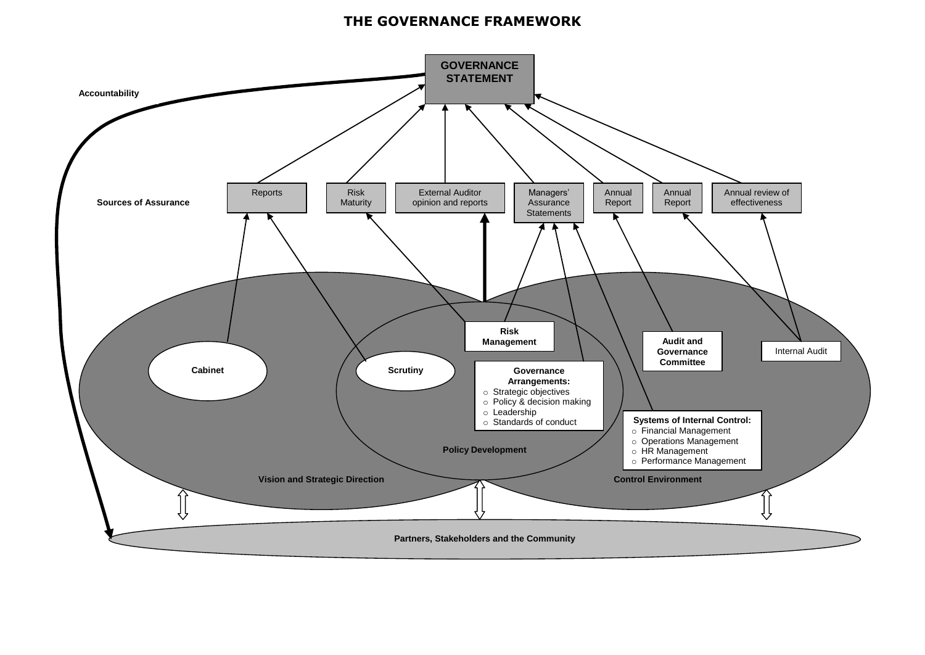# **THE GOVERNANCE FRAMEWORK**

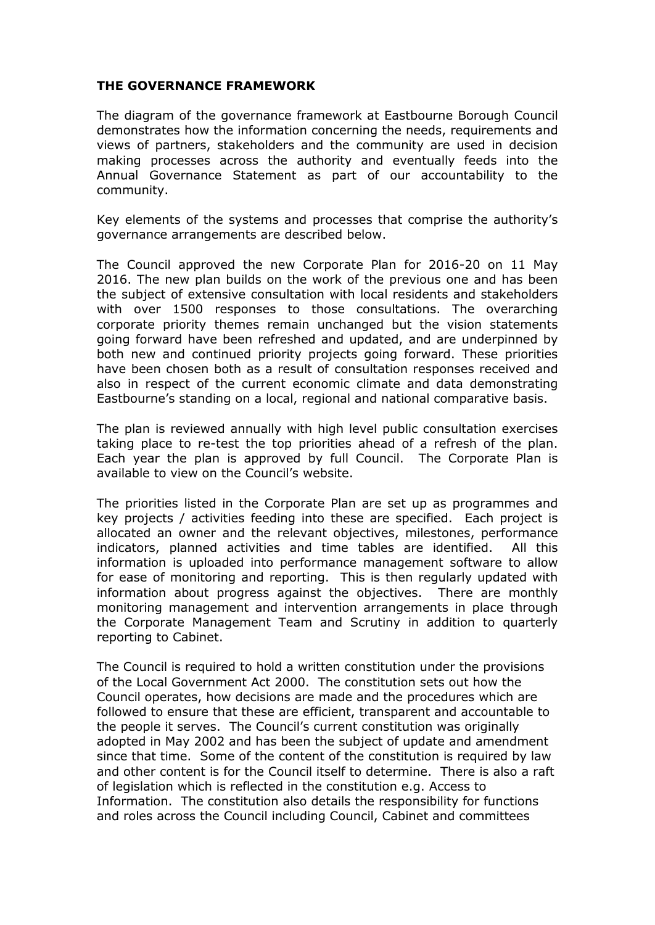#### **THE GOVERNANCE FRAMEWORK**

The diagram of the governance framework at Eastbourne Borough Council demonstrates how the information concerning the needs, requirements and views of partners, stakeholders and the community are used in decision making processes across the authority and eventually feeds into the Annual Governance Statement as part of our accountability to the community.

Key elements of the systems and processes that comprise the authority's governance arrangements are described below.

The Council approved the new Corporate Plan for 2016-20 on 11 May 2016. The new plan builds on the work of the previous one and has been the subject of extensive consultation with local residents and stakeholders with over 1500 responses to those consultations. The overarching corporate priority themes remain unchanged but the vision statements going forward have been refreshed and updated, and are underpinned by both new and continued priority projects going forward. These priorities have been chosen both as a result of consultation responses received and also in respect of the current economic climate and data demonstrating Eastbourne's standing on a local, regional and national comparative basis.

The plan is reviewed annually with high level public consultation exercises taking place to re-test the top priorities ahead of a refresh of the plan. Each year the plan is approved by full Council. The Corporate Plan is available to view on the Council's website.

The priorities listed in the Corporate Plan are set up as programmes and key projects / activities feeding into these are specified. Each project is allocated an owner and the relevant objectives, milestones, performance indicators, planned activities and time tables are identified. All this information is uploaded into performance management software to allow for ease of monitoring and reporting. This is then regularly updated with information about progress against the objectives. There are monthly monitoring management and intervention arrangements in place through the Corporate Management Team and Scrutiny in addition to quarterly reporting to Cabinet.

The Council is required to hold a written constitution under the provisions of the Local Government Act 2000. The constitution sets out how the Council operates, how decisions are made and the procedures which are followed to ensure that these are efficient, transparent and accountable to the people it serves. The Council's current constitution was originally adopted in May 2002 and has been the subject of update and amendment since that time. Some of the content of the constitution is required by law and other content is for the Council itself to determine. There is also a raft of legislation which is reflected in the constitution e.g. Access to Information. The constitution also details the responsibility for functions and roles across the Council including Council, Cabinet and committees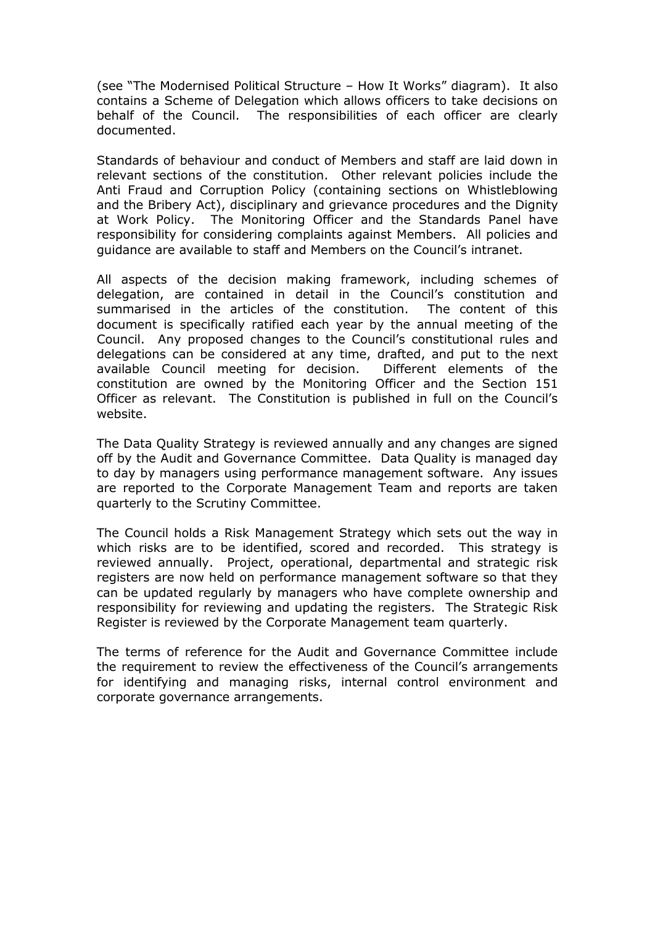(see "The Modernised Political Structure – How It Works" diagram). It also contains a Scheme of Delegation which allows officers to take decisions on behalf of the Council. The responsibilities of each officer are clearly documented.

Standards of behaviour and conduct of Members and staff are laid down in relevant sections of the constitution. Other relevant policies include the Anti Fraud and Corruption Policy (containing sections on Whistleblowing and the Bribery Act), disciplinary and grievance procedures and the Dignity at Work Policy. The Monitoring Officer and the Standards Panel have responsibility for considering complaints against Members. All policies and guidance are available to staff and Members on the Council's intranet.

All aspects of the decision making framework, including schemes of delegation, are contained in detail in the Council's constitution and summarised in the articles of the constitution. The content of this document is specifically ratified each year by the annual meeting of the Council. Any proposed changes to the Council's constitutional rules and delegations can be considered at any time, drafted, and put to the next available Council meeting for decision. Different elements of the constitution are owned by the Monitoring Officer and the Section 151 Officer as relevant. The Constitution is published in full on the Council's website.

The Data Quality Strategy is reviewed annually and any changes are signed off by the Audit and Governance Committee. Data Quality is managed day to day by managers using performance management software. Any issues are reported to the Corporate Management Team and reports are taken quarterly to the Scrutiny Committee.

The Council holds a Risk Management Strategy which sets out the way in which risks are to be identified, scored and recorded. This strategy is reviewed annually. Project, operational, departmental and strategic risk registers are now held on performance management software so that they can be updated regularly by managers who have complete ownership and responsibility for reviewing and updating the registers. The Strategic Risk Register is reviewed by the Corporate Management team quarterly.

The terms of reference for the Audit and Governance Committee include the requirement to review the effectiveness of the Council's arrangements for identifying and managing risks, internal control environment and corporate governance arrangements.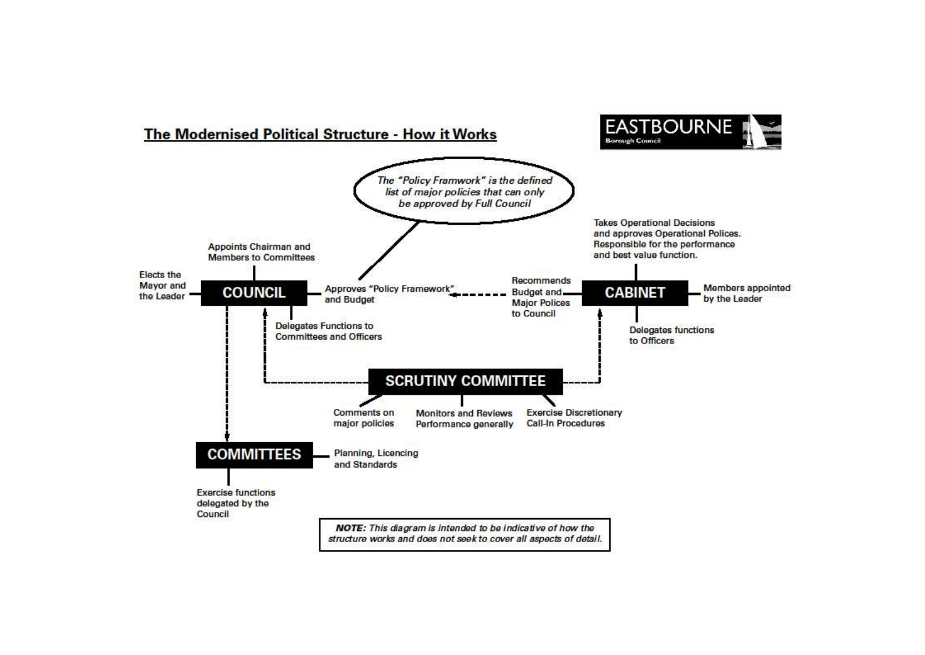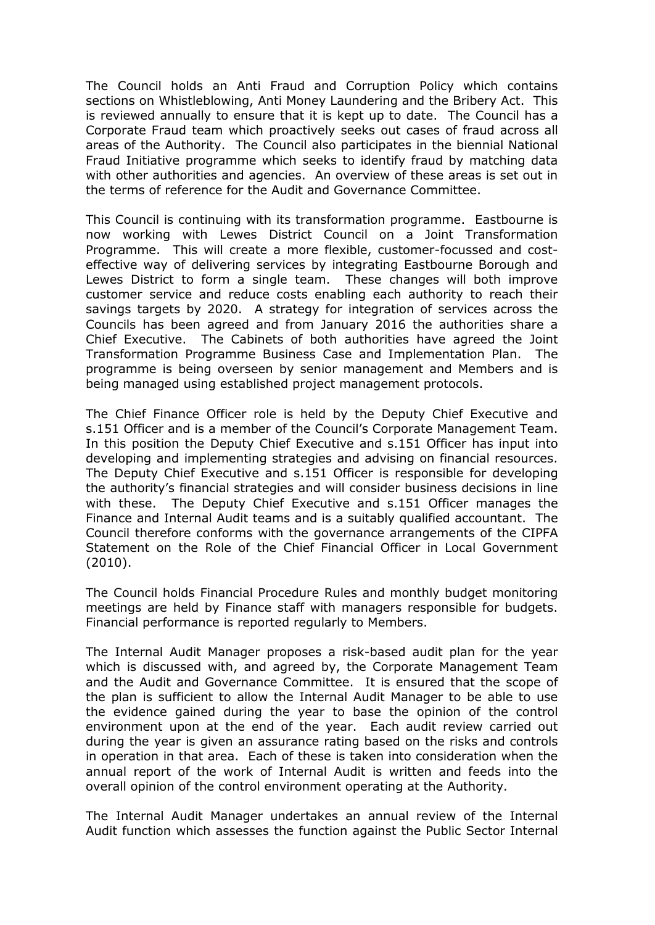The Council holds an Anti Fraud and Corruption Policy which contains sections on Whistleblowing, Anti Money Laundering and the Bribery Act. This is reviewed annually to ensure that it is kept up to date. The Council has a Corporate Fraud team which proactively seeks out cases of fraud across all areas of the Authority. The Council also participates in the biennial National Fraud Initiative programme which seeks to identify fraud by matching data with other authorities and agencies. An overview of these areas is set out in the terms of reference for the Audit and Governance Committee.

This Council is continuing with its transformation programme. Eastbourne is now working with Lewes District Council on a Joint Transformation Programme. This will create a more flexible, customer-focussed and costeffective way of delivering services by integrating Eastbourne Borough and Lewes District to form a single team. These changes will both improve customer service and reduce costs enabling each authority to reach their savings targets by 2020. A strategy for integration of services across the Councils has been agreed and from January 2016 the authorities share a Chief Executive. The Cabinets of both authorities have agreed the Joint Transformation Programme Business Case and Implementation Plan. The programme is being overseen by senior management and Members and is being managed using established project management protocols.

The Chief Finance Officer role is held by the Deputy Chief Executive and s.151 Officer and is a member of the Council's Corporate Management Team. In this position the Deputy Chief Executive and s.151 Officer has input into developing and implementing strategies and advising on financial resources. The Deputy Chief Executive and s.151 Officer is responsible for developing the authority's financial strategies and will consider business decisions in line with these. The Deputy Chief Executive and s.151 Officer manages the Finance and Internal Audit teams and is a suitably qualified accountant. The Council therefore conforms with the governance arrangements of the CIPFA Statement on the Role of the Chief Financial Officer in Local Government (2010).

The Council holds Financial Procedure Rules and monthly budget monitoring meetings are held by Finance staff with managers responsible for budgets. Financial performance is reported regularly to Members.

The Internal Audit Manager proposes a risk-based audit plan for the year which is discussed with, and agreed by, the Corporate Management Team and the Audit and Governance Committee. It is ensured that the scope of the plan is sufficient to allow the Internal Audit Manager to be able to use the evidence gained during the year to base the opinion of the control environment upon at the end of the year. Each audit review carried out during the year is given an assurance rating based on the risks and controls in operation in that area. Each of these is taken into consideration when the annual report of the work of Internal Audit is written and feeds into the overall opinion of the control environment operating at the Authority.

The Internal Audit Manager undertakes an annual review of the Internal Audit function which assesses the function against the Public Sector Internal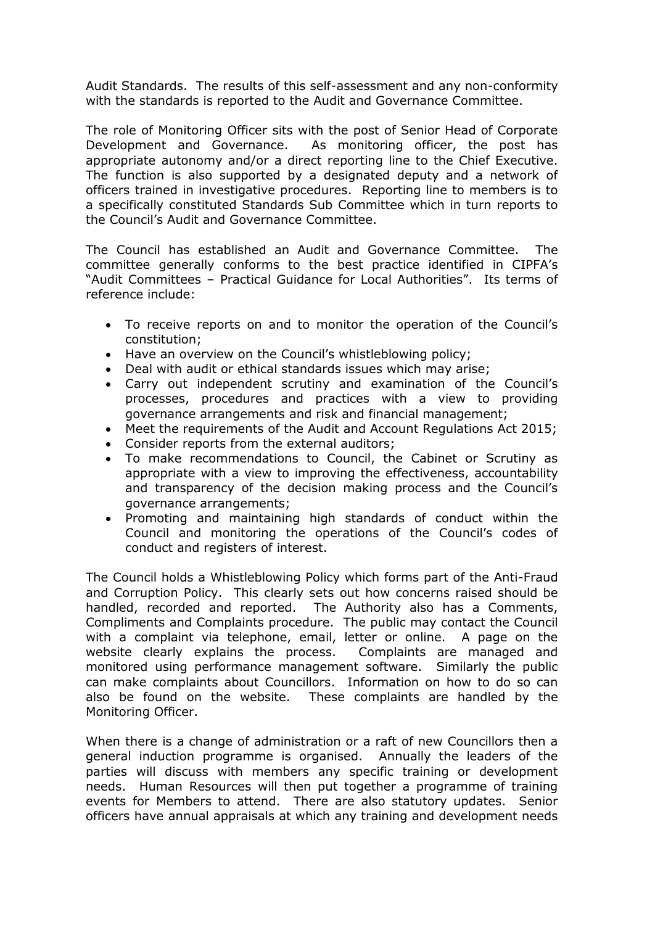Audit Standards. The results of this self-assessment and any non-conformity with the standards is reported to the Audit and Governance Committee.

The role of Monitoring Officer sits with the post of Senior Head of Corporate Development and Governance. As monitoring officer, the post has appropriate autonomy and/or a direct reporting line to the Chief Executive. The function is also supported by a designated deputy and a network of officers trained in investigative procedures. Reporting line to members is to a specifically constituted Standards Sub Committee which in turn reports to the Council's Audit and Governance Committee.

The Council has established an Audit and Governance Committee. The committee generally conforms to the best practice identified in CIPFA's "Audit Committees – Practical Guidance for Local Authorities". Its terms of reference include:

- To receive reports on and to monitor the operation of the Council's constitution;
- Have an overview on the Council's whistleblowing policy;
- Deal with audit or ethical standards issues which may arise;
- Carry out independent scrutiny and examination of the Council's processes, procedures and practices with a view to providing governance arrangements and risk and financial management;
- Meet the requirements of the Audit and Account Regulations Act 2015;
- Consider reports from the external auditors;
- To make recommendations to Council, the Cabinet or Scrutiny as appropriate with a view to improving the effectiveness, accountability and transparency of the decision making process and the Council's governance arrangements;
- Promoting and maintaining high standards of conduct within the Council and monitoring the operations of the Council's codes of conduct and registers of interest.

The Council holds a Whistleblowing Policy which forms part of the Anti-Fraud and Corruption Policy. This clearly sets out how concerns raised should be handled, recorded and reported. The Authority also has a Comments, Compliments and Complaints procedure. The public may contact the Council with a complaint via telephone, email, letter or online. A page on the website clearly explains the process. Complaints are managed and monitored using performance management software. Similarly the public can make complaints about Councillors. Information on how to do so can also be found on the website. These complaints are handled by the Monitoring Officer.

When there is a change of administration or a raft of new Councillors then a general induction programme is organised. Annually the leaders of the parties will discuss with members any specific training or development needs. Human Resources will then put together a programme of training events for Members to attend. There are also statutory updates. Senior officers have annual appraisals at which any training and development needs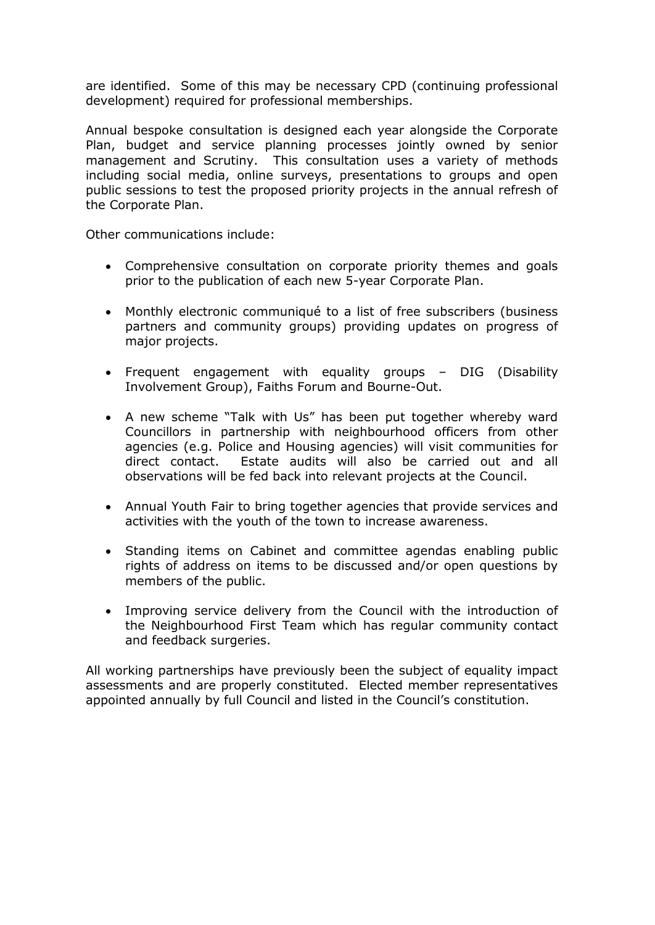are identified. Some of this may be necessary CPD (continuing professional development) required for professional memberships.

Annual bespoke consultation is designed each year alongside the Corporate Plan, budget and service planning processes jointly owned by senior management and Scrutiny. This consultation uses a variety of methods including social media, online surveys, presentations to groups and open public sessions to test the proposed priority projects in the annual refresh of the Corporate Plan.

Other communications include:

- Comprehensive consultation on corporate priority themes and goals prior to the publication of each new 5-year Corporate Plan.
- Monthly electronic communiqué to a list of free subscribers (business partners and community groups) providing updates on progress of major projects.
- Frequent engagement with equality groups DIG (Disability Involvement Group), Faiths Forum and Bourne-Out.
- A new scheme "Talk with Us" has been put together whereby ward Councillors in partnership with neighbourhood officers from other agencies (e.g. Police and Housing agencies) will visit communities for direct contact. Estate audits will also be carried out and all observations will be fed back into relevant projects at the Council.
- Annual Youth Fair to bring together agencies that provide services and activities with the youth of the town to increase awareness.
- Standing items on Cabinet and committee agendas enabling public rights of address on items to be discussed and/or open questions by members of the public.
- Improving service delivery from the Council with the introduction of the Neighbourhood First Team which has regular community contact and feedback surgeries.

All working partnerships have previously been the subject of equality impact assessments and are properly constituted. Elected member representatives appointed annually by full Council and listed in the Council's constitution.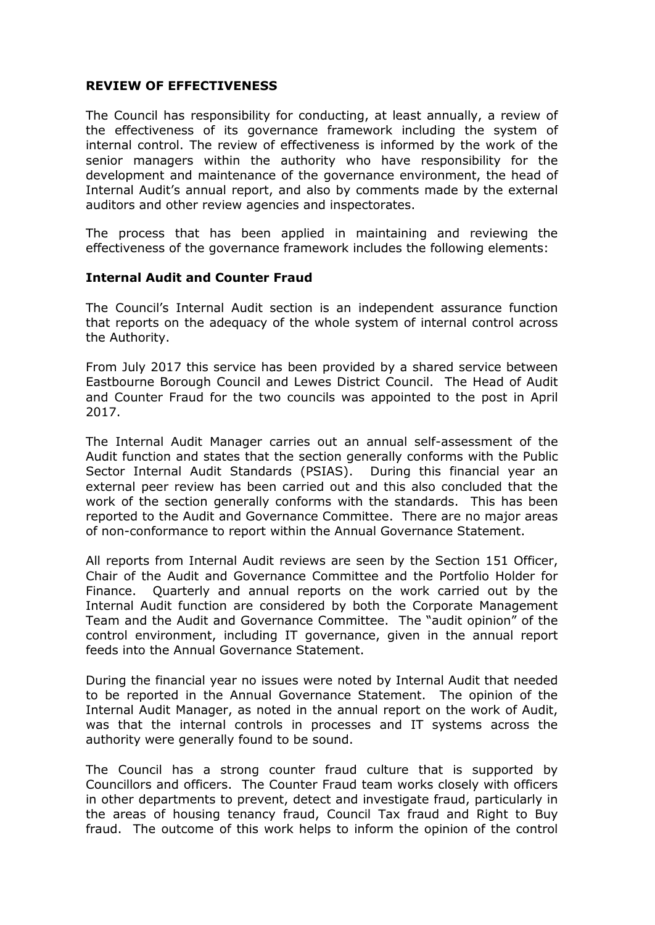#### **REVIEW OF EFFECTIVENESS**

The Council has responsibility for conducting, at least annually, a review of the effectiveness of its governance framework including the system of internal control. The review of effectiveness is informed by the work of the senior managers within the authority who have responsibility for the development and maintenance of the governance environment, the head of Internal Audit's annual report, and also by comments made by the external auditors and other review agencies and inspectorates.

The process that has been applied in maintaining and reviewing the effectiveness of the governance framework includes the following elements:

#### **Internal Audit and Counter Fraud**

The Council's Internal Audit section is an independent assurance function that reports on the adequacy of the whole system of internal control across the Authority.

From July 2017 this service has been provided by a shared service between Eastbourne Borough Council and Lewes District Council. The Head of Audit and Counter Fraud for the two councils was appointed to the post in April 2017.

The Internal Audit Manager carries out an annual self-assessment of the Audit function and states that the section generally conforms with the Public Sector Internal Audit Standards (PSIAS). During this financial year an external peer review has been carried out and this also concluded that the work of the section generally conforms with the standards. This has been reported to the Audit and Governance Committee. There are no major areas of non-conformance to report within the Annual Governance Statement.

All reports from Internal Audit reviews are seen by the Section 151 Officer, Chair of the Audit and Governance Committee and the Portfolio Holder for Finance. Quarterly and annual reports on the work carried out by the Internal Audit function are considered by both the Corporate Management Team and the Audit and Governance Committee. The "audit opinion" of the control environment, including IT governance, given in the annual report feeds into the Annual Governance Statement.

During the financial year no issues were noted by Internal Audit that needed to be reported in the Annual Governance Statement. The opinion of the Internal Audit Manager, as noted in the annual report on the work of Audit, was that the internal controls in processes and IT systems across the authority were generally found to be sound.

The Council has a strong counter fraud culture that is supported by Councillors and officers. The Counter Fraud team works closely with officers in other departments to prevent, detect and investigate fraud, particularly in the areas of housing tenancy fraud, Council Tax fraud and Right to Buy fraud. The outcome of this work helps to inform the opinion of the control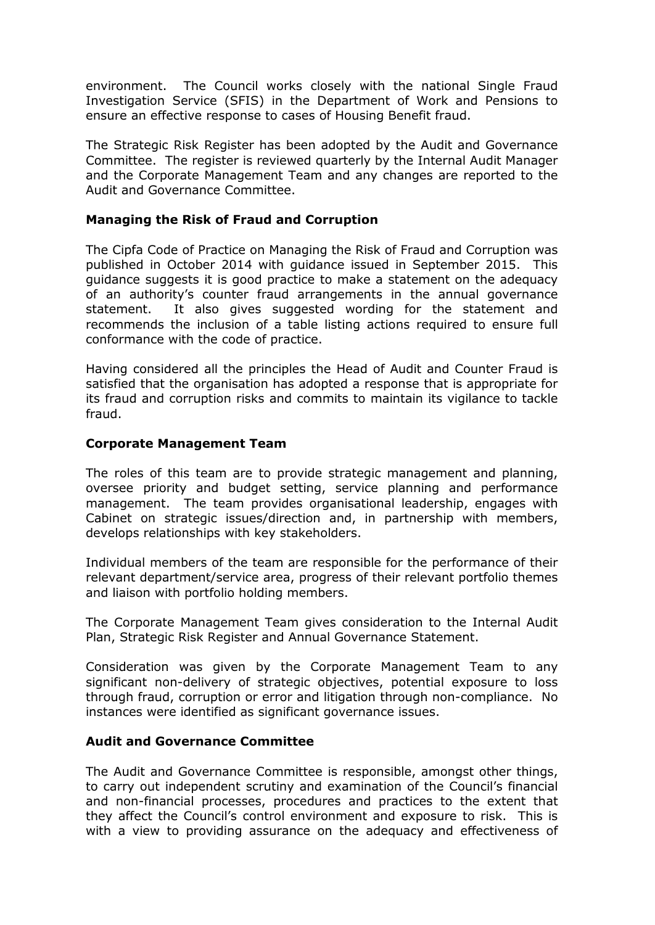environment. The Council works closely with the national Single Fraud Investigation Service (SFIS) in the Department of Work and Pensions to ensure an effective response to cases of Housing Benefit fraud.

The Strategic Risk Register has been adopted by the Audit and Governance Committee. The register is reviewed quarterly by the Internal Audit Manager and the Corporate Management Team and any changes are reported to the Audit and Governance Committee.

### **Managing the Risk of Fraud and Corruption**

The Cipfa Code of Practice on Managing the Risk of Fraud and Corruption was published in October 2014 with guidance issued in September 2015. This guidance suggests it is good practice to make a statement on the adequacy of an authority's counter fraud arrangements in the annual governance statement. It also gives suggested wording for the statement and recommends the inclusion of a table listing actions required to ensure full conformance with the code of practice.

Having considered all the principles the Head of Audit and Counter Fraud is satisfied that the organisation has adopted a response that is appropriate for its fraud and corruption risks and commits to maintain its vigilance to tackle fraud.

#### **Corporate Management Team**

The roles of this team are to provide strategic management and planning, oversee priority and budget setting, service planning and performance management. The team provides organisational leadership, engages with Cabinet on strategic issues/direction and, in partnership with members, develops relationships with key stakeholders.

Individual members of the team are responsible for the performance of their relevant department/service area, progress of their relevant portfolio themes and liaison with portfolio holding members.

The Corporate Management Team gives consideration to the Internal Audit Plan, Strategic Risk Register and Annual Governance Statement.

Consideration was given by the Corporate Management Team to any significant non-delivery of strategic objectives, potential exposure to loss through fraud, corruption or error and litigation through non-compliance. No instances were identified as significant governance issues.

#### **Audit and Governance Committee**

The Audit and Governance Committee is responsible, amongst other things, to carry out independent scrutiny and examination of the Council's financial and non-financial processes, procedures and practices to the extent that they affect the Council's control environment and exposure to risk. This is with a view to providing assurance on the adequacy and effectiveness of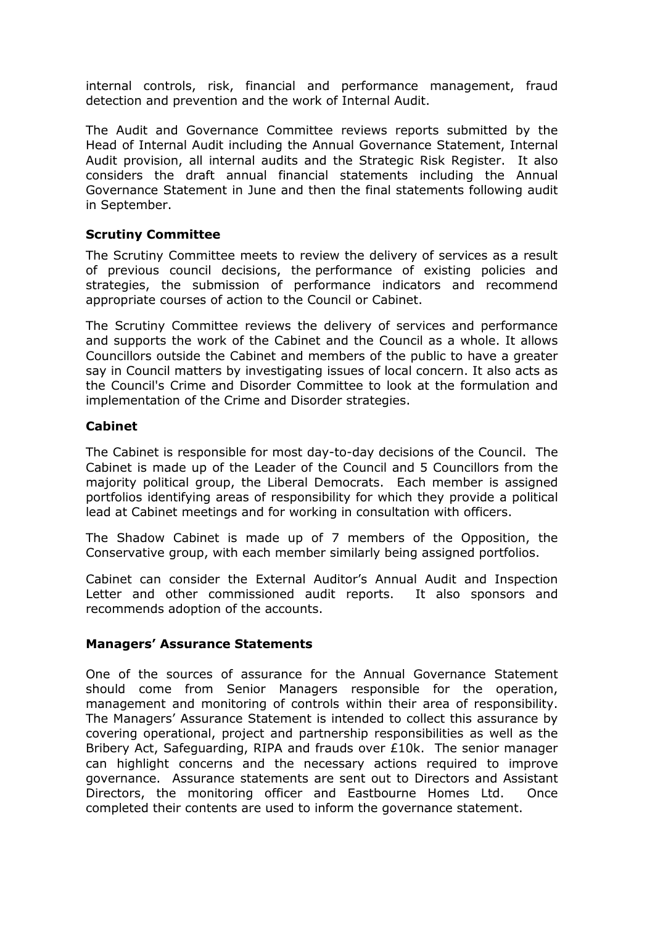internal controls, risk, financial and performance management, fraud detection and prevention and the work of Internal Audit.

The Audit and Governance Committee reviews reports submitted by the Head of Internal Audit including the Annual Governance Statement, Internal Audit provision, all internal audits and the Strategic Risk Register. It also considers the draft annual financial statements including the Annual Governance Statement in June and then the final statements following audit in September.

## **Scrutiny Committee**

The Scrutiny Committee meets to review the delivery of services as a result of previous council decisions, the performance of existing policies and strategies, the submission of performance indicators and recommend appropriate courses of action to the Council or Cabinet.

The Scrutiny Committee reviews the delivery of services and performance and supports the work of the Cabinet and the Council as a whole. It allows Councillors outside the Cabinet and members of the public to have a greater say in Council matters by investigating issues of local concern. It also acts as the Council's Crime and Disorder Committee to look at the formulation and implementation of the Crime and Disorder strategies.

## **Cabinet**

The Cabinet is responsible for most day-to-day decisions of the Council. The Cabinet is made up of the Leader of the Council and 5 Councillors from the majority political group, the Liberal Democrats. Each member is assigned portfolios identifying areas of responsibility for which they provide a political lead at Cabinet meetings and for working in consultation with officers.

The Shadow Cabinet is made up of 7 members of the Opposition, the Conservative group, with each member similarly being assigned portfolios.

Cabinet can consider the External Auditor's Annual Audit and Inspection Letter and other commissioned audit reports. It also sponsors and recommends adoption of the accounts.

#### **Managers' Assurance Statements**

One of the sources of assurance for the Annual Governance Statement should come from Senior Managers responsible for the operation, management and monitoring of controls within their area of responsibility. The Managers' Assurance Statement is intended to collect this assurance by covering operational, project and partnership responsibilities as well as the Bribery Act, Safeguarding, RIPA and frauds over £10k. The senior manager can highlight concerns and the necessary actions required to improve governance. Assurance statements are sent out to Directors and Assistant Directors, the monitoring officer and Eastbourne Homes Ltd. Once completed their contents are used to inform the governance statement.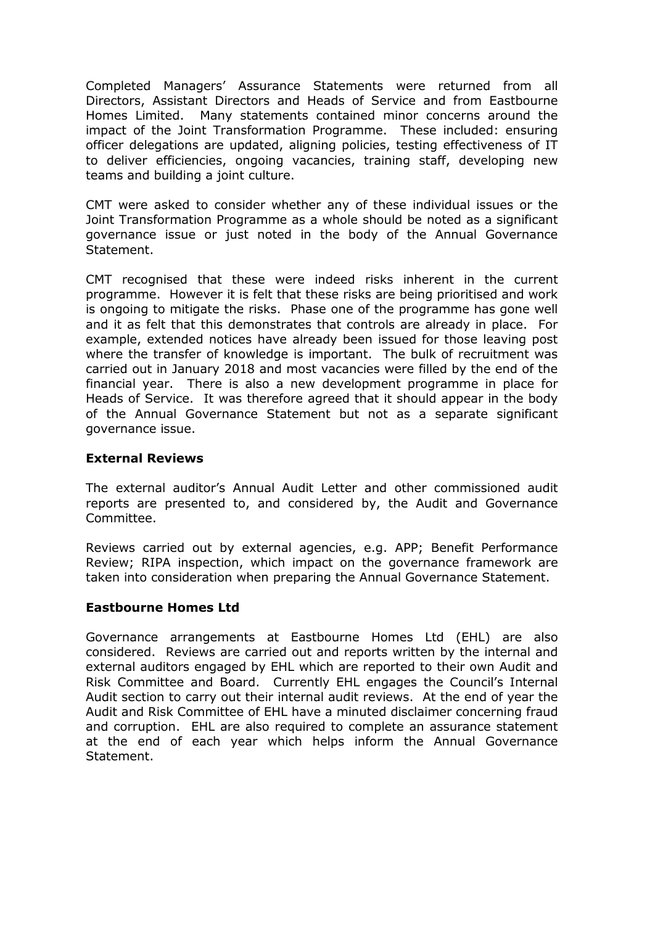Completed Managers' Assurance Statements were returned from all Directors, Assistant Directors and Heads of Service and from Eastbourne Homes Limited. Many statements contained minor concerns around the impact of the Joint Transformation Programme. These included: ensuring officer delegations are updated, aligning policies, testing effectiveness of IT to deliver efficiencies, ongoing vacancies, training staff, developing new teams and building a joint culture.

CMT were asked to consider whether any of these individual issues or the Joint Transformation Programme as a whole should be noted as a significant governance issue or just noted in the body of the Annual Governance Statement.

CMT recognised that these were indeed risks inherent in the current programme. However it is felt that these risks are being prioritised and work is ongoing to mitigate the risks. Phase one of the programme has gone well and it as felt that this demonstrates that controls are already in place. For example, extended notices have already been issued for those leaving post where the transfer of knowledge is important. The bulk of recruitment was carried out in January 2018 and most vacancies were filled by the end of the financial year. There is also a new development programme in place for Heads of Service. It was therefore agreed that it should appear in the body of the Annual Governance Statement but not as a separate significant governance issue.

#### **External Reviews**

The external auditor's Annual Audit Letter and other commissioned audit reports are presented to, and considered by, the Audit and Governance Committee.

Reviews carried out by external agencies, e.g. APP; Benefit Performance Review; RIPA inspection, which impact on the governance framework are taken into consideration when preparing the Annual Governance Statement.

#### **Eastbourne Homes Ltd**

Governance arrangements at Eastbourne Homes Ltd (EHL) are also considered. Reviews are carried out and reports written by the internal and external auditors engaged by EHL which are reported to their own Audit and Risk Committee and Board. Currently EHL engages the Council's Internal Audit section to carry out their internal audit reviews. At the end of year the Audit and Risk Committee of EHL have a minuted disclaimer concerning fraud and corruption. EHL are also required to complete an assurance statement at the end of each year which helps inform the Annual Governance Statement.